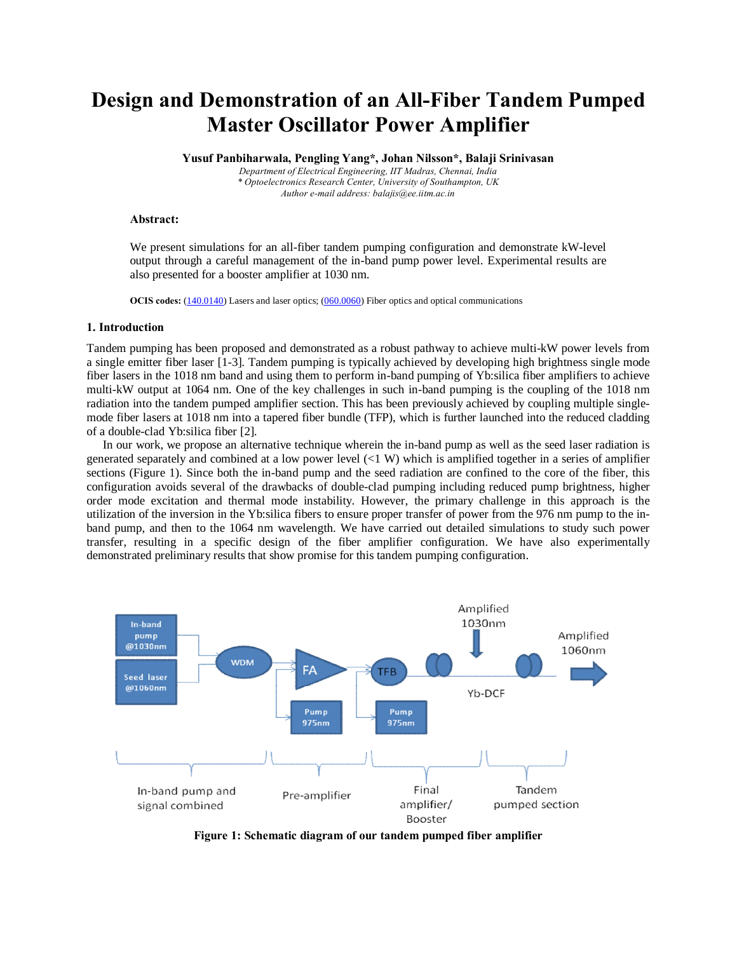# **Design and Demonstration of an All-Fiber Tandem Pumped Master Oscillator Power Amplifier**

**Yusuf Panbiharwala, Pengling Yang\*, Johan Nilsson\*, Balaji Srinivasan**

*Department of Electrical Engineering, IIT Madras, Chennai, India \* Optoelectronics Research Center, University of Southampton, UK Author e-mail address: balajis@ee.iitm.ac.in*

#### **Abstract:**

We present simulations for an all-fiber tandem pumping configuration and demonstrate kW-level output through a careful management of the in-band pump power level. Experimental results are also presented for a booster amplifier at 1030 nm.

**OCIS codes:** (140.0140) Lasers and laser optics; (060.0060) Fiber optics and optical communications

#### **1. Introduction**

Tandem pumping has been proposed and demonstrated as a robust pathway to achieve multi-kW power levels from a single emitter fiber laser [1-3]. Tandem pumping is typically achieved by developing high brightness single mode fiber lasers in the 1018 nm band and using them to perform in-band pumping of Yb:silica fiber amplifiers to achieve multi-kW output at 1064 nm. One of the key challenges in such in-band pumping is the coupling of the 1018 nm radiation into the tandem pumped amplifier section. This has been previously achieved by coupling multiple singlemode fiber lasers at 1018 nm into a tapered fiber bundle (TFP), which is further launched into the reduced cladding of a double-clad Yb:silica fiber [2].

In our work, we propose an alternative technique wherein the in-band pump as well as the seed laser radiation is generated separately and combined at a low power level (<1 W) which is amplified together in a series of amplifier sections (Figure 1). Since both the in-band pump and the seed radiation are confined to the core of the fiber, this configuration avoids several of the drawbacks of double-clad pumping including reduced pump brightness, higher order mode excitation and thermal mode instability. However, the primary challenge in this approach is the utilization of the inversion in the Yb:silica fibers to ensure proper transfer of power from the 976 nm pump to the inband pump, and then to the 1064 nm wavelength. We have carried out detailed simulations to study such power transfer, resulting in a specific design of the fiber amplifier configuration. We have also experimentally demonstrated preliminary results that show promise for this tandem pumping configuration.



**Figure 1: Schematic diagram of our tandem pumped fiber amplifier**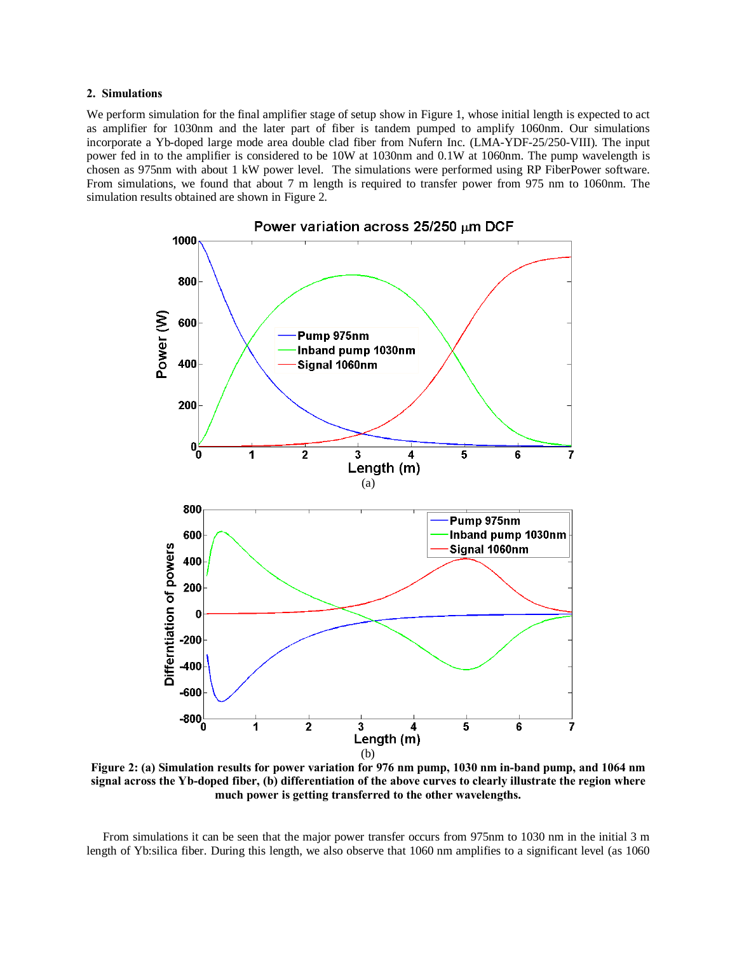#### **2. Simulations**

We perform simulation for the final amplifier stage of setup show in Figure 1, whose initial length is expected to act as amplifier for 1030nm and the later part of fiber is tandem pumped to amplify 1060nm. Our simulations incorporate a Yb-doped large mode area double clad fiber from Nufern Inc. (LMA-YDF-25/250-VIII). The input power fed in to the amplifier is considered to be 10W at 1030nm and 0.1W at 1060nm. The pump wavelength is chosen as 975nm with about 1 kW power level. The simulations were performed using RP FiberPower software. From simulations, we found that about 7 m length is required to transfer power from 975 nm to 1060nm. The simulation results obtained are shown in Figure 2.



**Figure 2: (a) Simulation results for power variation for 976 nm pump, 1030 nm in-band pump, and 1064 nm signal across the Yb-doped fiber, (b) differentiation of the above curves to clearly illustrate the region where much power is getting transferred to the other wavelengths.**

From simulations it can be seen that the major power transfer occurs from 975nm to 1030 nm in the initial 3 m length of Yb:silica fiber. During this length, we also observe that 1060 nm amplifies to a significant level (as 1060